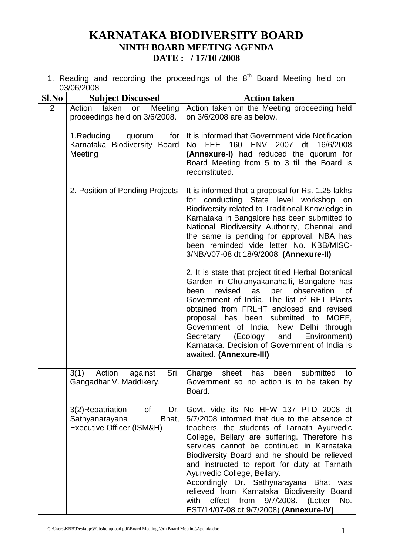# **KARNATAKA BIODIVERSITY BOARD NINTH BOARD MEETING AGENDA DATE : / 17/10 /2008**

1. Reading and recording the proceedings of the  $8<sup>th</sup>$  Board Meeting held on 03/06/2008

| Sl.No          | <b>Subject Discussed</b>                                                              | <b>Action taken</b>                                                                                                                                                                                                                                                                                                                                                                                                                                                                                                                                                        |
|----------------|---------------------------------------------------------------------------------------|----------------------------------------------------------------------------------------------------------------------------------------------------------------------------------------------------------------------------------------------------------------------------------------------------------------------------------------------------------------------------------------------------------------------------------------------------------------------------------------------------------------------------------------------------------------------------|
| $\overline{2}$ | Action<br>taken<br>Meeting<br>on<br>proceedings held on 3/6/2008.                     | Action taken on the Meeting proceeding held<br>on 3/6/2008 are as below.                                                                                                                                                                                                                                                                                                                                                                                                                                                                                                   |
|                | 1.Reducing<br>for<br>quorum<br>Karnataka Biodiversity Board<br>Meeting                | It is informed that Government vide Notification<br>FEE 160 ENV<br>2007 dt<br>16/6/2008<br>No.<br>(Annexure-I) had reduced the quorum for<br>Board Meeting from 5 to 3 till the Board is<br>reconstituted.                                                                                                                                                                                                                                                                                                                                                                 |
|                | 2. Position of Pending Projects                                                       | It is informed that a proposal for Rs. 1.25 lakhs<br>for conducting State level workshop<br>on<br>Biodiversity related to Traditional Knowledge in<br>Karnataka in Bangalore has been submitted to<br>National Biodiversity Authority, Chennai and<br>the same is pending for approval. NBA has<br>been reminded vide letter No. KBB/MISC-<br>3/NBA/07-08 dt 18/9/2008. (Annexure-II)                                                                                                                                                                                      |
|                |                                                                                       | 2. It is state that project titled Herbal Botanical<br>Garden in Cholanyakanahalli, Bangalore has<br>revised<br>observation<br>been<br>as<br>per<br>0f<br>Government of India. The list of RET Plants<br>obtained from FRLHT enclosed and revised<br>submitted<br>MOEF,<br>proposal has<br>been<br>to<br>Government of India, New Delhi<br>through<br>(Ecology<br>and<br>Environment)<br>Secretary<br>Karnataka. Decision of Government of India is<br>awaited. (Annexure-III)                                                                                             |
|                | Sri.<br>Action<br>3(1)<br>against<br>Gangadhar V. Maddikery.                          | submitted<br>Charge<br>sheet<br>been<br>has<br>to<br>Government so no action is to be taken by<br>Board.                                                                                                                                                                                                                                                                                                                                                                                                                                                                   |
|                | 3(2)Repatriation<br>Dr.<br>0f<br>Sathyanarayana<br>Bhat,<br>Executive Officer (ISM&H) | Govt. vide its No HFW 137 PTD 2008 dt<br>5/7/2008 informed that due to the absence of<br>teachers, the students of Tarnath Ayurvedic<br>College, Bellary are suffering. Therefore his<br>services cannot be continued in Karnataka<br>Biodiversity Board and he should be relieved<br>and instructed to report for duty at Tarnath<br>Ayurvedic College, Bellary.<br>Accordingly Dr. Sathynarayana<br><b>Bhat</b><br>was<br>relieved from Karnataka Biodiversity Board<br>effect<br>9/7/2008.<br>from<br>No.<br>with<br>(Letter<br>EST/14/07-08 dt 9/7/2008) (Annexure-IV) |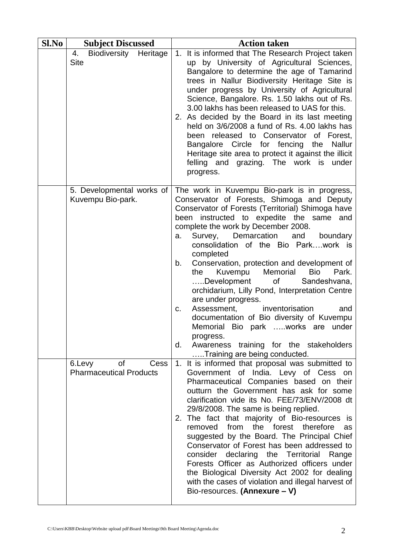| Sl.No | <b>Subject Discussed</b>                               | <b>Action taken</b>                                                                                                                                                                                                                                                                                                                                                                                                                                                                                                                                                                                                                                                                                                                                                                          |  |  |
|-------|--------------------------------------------------------|----------------------------------------------------------------------------------------------------------------------------------------------------------------------------------------------------------------------------------------------------------------------------------------------------------------------------------------------------------------------------------------------------------------------------------------------------------------------------------------------------------------------------------------------------------------------------------------------------------------------------------------------------------------------------------------------------------------------------------------------------------------------------------------------|--|--|
|       | Biodiversity Heritage<br>4.<br><b>Site</b>             | 1. It is informed that The Research Project taken<br>up by University of Agricultural Sciences,<br>Bangalore to determine the age of Tamarind<br>trees in Nallur Biodiversity Heritage Site is<br>under progress by University of Agricultural<br>Science, Bangalore. Rs. 1.50 lakhs out of Rs.<br>3.00 lakhs has been released to UAS for this.<br>2. As decided by the Board in its last meeting<br>held on 3/6/2008 a fund of Rs. 4.00 lakhs has<br>been released to Conservator of Forest,<br>Bangalore Circle for fencing the<br><b>Nallur</b><br>Heritage site area to protect it against the illicit<br>felling and grazing. The work is under<br>progress.                                                                                                                           |  |  |
|       | 5. Developmental works of<br>Kuvempu Bio-park.         | The work in Kuvempu Bio-park is in progress,<br>Conservator of Forests, Shimoga and Deputy<br>Conservator of Forests (Territorial) Shimoga have<br>been instructed to expedite the same and<br>complete the work by December 2008.<br>Demarcation<br>and boundary<br>Survey,<br>a.<br>consolidation of the Bio Parkwork is<br>completed<br>Conservation, protection and development of<br>b.<br>Kuvempu Memorial<br><b>Bio</b><br>the<br>Park.<br>Development<br>of<br>Sandeshvana,<br>orchidarium, Lilly Pond, Interpretation Centre<br>are under progress.<br>Assessment,<br>inventorisation<br>and<br>C.<br>documentation of Bio diversity of Kuvempu<br>Memorial Bio park works are under<br>progress.<br>Awareness training for the stakeholders<br>d.<br>Training are being conducted. |  |  |
|       | of<br>6.Levy<br>Cess<br><b>Pharmaceutical Products</b> | 1. It is informed that proposal was submitted to<br>Government of India. Levy of Cess on<br>Pharmaceutical Companies based on their<br>outturn the Government has ask for some<br>clarification vide its No. FEE/73/ENV/2008 dt<br>29/8/2008. The same is being replied.<br>The fact that majority of Bio-resources is<br>2.<br>removed from the forest therefore<br>as<br>suggested by the Board. The Principal Chief<br>Conservator of Forest has been addressed to<br>consider declaring the Territorial<br>Range<br>Forests Officer as Authorized officers under<br>the Biological Diversity Act 2002 for dealing<br>with the cases of violation and illegal harvest of<br>Bio-resources. (Annexure - V)                                                                                 |  |  |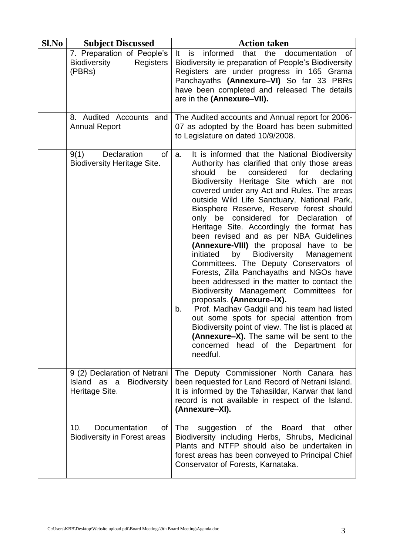| Sl.No | <b>Subject Discussed</b>                                                             | <b>Action taken</b>                                                                                                                                                                                                                                                                                                                                                                                                                                                                                                                                                                                                                                                                                                                                                                                                                                                                                                                                                                                                                                                                                                                                                                                                                                                                                                                                                                                                                                                                                                                                                                                                                                                                          |  |
|-------|--------------------------------------------------------------------------------------|----------------------------------------------------------------------------------------------------------------------------------------------------------------------------------------------------------------------------------------------------------------------------------------------------------------------------------------------------------------------------------------------------------------------------------------------------------------------------------------------------------------------------------------------------------------------------------------------------------------------------------------------------------------------------------------------------------------------------------------------------------------------------------------------------------------------------------------------------------------------------------------------------------------------------------------------------------------------------------------------------------------------------------------------------------------------------------------------------------------------------------------------------------------------------------------------------------------------------------------------------------------------------------------------------------------------------------------------------------------------------------------------------------------------------------------------------------------------------------------------------------------------------------------------------------------------------------------------------------------------------------------------------------------------------------------------|--|
|       | 7. Preparation of People's<br><b>Biodiversity</b><br><b>Registers</b><br>(PBRs)      | that<br>the<br>informed<br>documentation<br>It<br>is<br>0f<br>Biodiversity ie preparation of People's Biodiversity<br>Registers are under progress in 165 Grama<br>Panchayaths (Annexure-VI) So far 33 PBRs<br>have been completed and released The details<br>are in the (Annexure-VII).                                                                                                                                                                                                                                                                                                                                                                                                                                                                                                                                                                                                                                                                                                                                                                                                                                                                                                                                                                                                                                                                                                                                                                                                                                                                                                                                                                                                    |  |
|       | 8. Audited Accounts and<br><b>Annual Report</b>                                      | The Audited accounts and Annual report for 2006-<br>07 as adopted by the Board has been submitted<br>to Legislature on dated 10/9/2008.<br>It is informed that the National Biodiversity<br>a.<br>Authority has clarified that only those areas<br>for<br>should<br>considered<br>be<br>declaring<br>Biodiversity Heritage Site which are not<br>covered under any Act and Rules. The areas<br>outside Wild Life Sanctuary, National Park,<br>Biosphere Reserve, Reserve forest should<br>considered for Declaration of<br>only be<br>Heritage Site. Accordingly the format has<br>been revised and as per NBA Guidelines<br>(Annexure-VIII) the proposal have to be<br>initiated<br>by<br>Biodiversity<br>Management<br>Committees. The Deputy Conservators of<br>Forests, Zilla Panchayaths and NGOs have<br>been addressed in the matter to contact the<br>Biodiversity Management Committees for<br>proposals. (Annexure-IX).<br>Prof. Madhav Gadgil and his team had listed<br>b.<br>out some spots for special attention from<br>Biodiversity point of view. The list is placed at<br>(Annexure-X). The same will be sent to the<br>concerned<br>head of the Department for<br>needful.<br>The Deputy Commissioner North Canara has<br>been requested for Land Record of Netrani Island.<br>It is informed by the Tahasildar, Karwar that land<br>record is not available in respect of the Island.<br>(Annexure-XI).<br>The<br>of<br>the<br><b>Board</b><br>suggestion<br>that<br>other<br>Biodiversity including Herbs, Shrubs, Medicinal<br>Plants and NTFP should also be undertaken in<br>forest areas has been conveyed to Principal Chief<br>Conservator of Forests, Karnataka. |  |
|       | Declaration<br>of<br>9(1)<br><b>Biodiversity Heritage Site.</b>                      |                                                                                                                                                                                                                                                                                                                                                                                                                                                                                                                                                                                                                                                                                                                                                                                                                                                                                                                                                                                                                                                                                                                                                                                                                                                                                                                                                                                                                                                                                                                                                                                                                                                                                              |  |
|       | 9 (2) Declaration of Netrani<br>Island as a<br><b>Biodiversity</b><br>Heritage Site. |                                                                                                                                                                                                                                                                                                                                                                                                                                                                                                                                                                                                                                                                                                                                                                                                                                                                                                                                                                                                                                                                                                                                                                                                                                                                                                                                                                                                                                                                                                                                                                                                                                                                                              |  |
|       | Documentation<br>10.<br>οf<br><b>Biodiversity in Forest areas</b>                    |                                                                                                                                                                                                                                                                                                                                                                                                                                                                                                                                                                                                                                                                                                                                                                                                                                                                                                                                                                                                                                                                                                                                                                                                                                                                                                                                                                                                                                                                                                                                                                                                                                                                                              |  |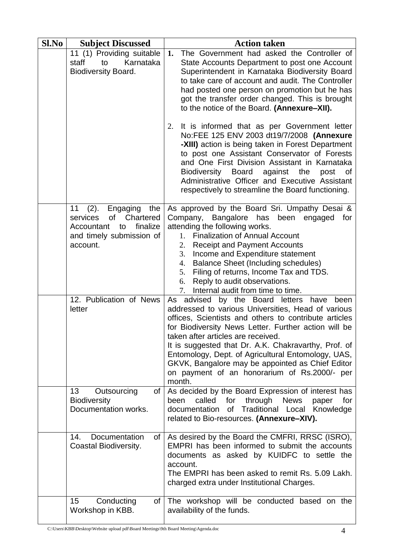| Sl.No | <b>Subject Discussed</b>                                                                                                             | <b>Action taken</b>                                                                                                                                                                                                                                                                                                                                                                                                                                                                      |  |
|-------|--------------------------------------------------------------------------------------------------------------------------------------|------------------------------------------------------------------------------------------------------------------------------------------------------------------------------------------------------------------------------------------------------------------------------------------------------------------------------------------------------------------------------------------------------------------------------------------------------------------------------------------|--|
|       | 11 (1) Providing suitable<br>Karnataka<br>staff<br>to<br><b>Biodiversity Board.</b>                                                  | The Government had asked the Controller of<br>1.<br>State Accounts Department to post one Account<br>Superintendent in Karnataka Biodiversity Board<br>to take care of account and audit. The Controller<br>had posted one person on promotion but he has<br>got the transfer order changed. This is brought<br>to the notice of the Board. (Annexure-XII).                                                                                                                              |  |
|       |                                                                                                                                      | It is informed that as per Government letter<br>2.<br>No:FEE 125 ENV 2003 dt19/7/2008 (Annexure<br>-XIII) action is being taken in Forest Department<br>to post one Assistant Conservator of Forests<br>and One First Division Assistant in Karnataka<br>Biodiversity<br><b>Board</b><br>against<br>the<br>post<br>οf<br>Administrative Officer and Executive Assistant<br>respectively to streamline the Board functioning.                                                             |  |
|       | 11<br>(2).<br>Engaging<br>the<br>of<br>Chartered<br>services<br>finalize<br>Accountant<br>to<br>and timely submission of<br>account. | As approved by the Board Sri. Umpathy Desai &<br>Company, Bangalore has been engaged<br>for<br>attending the following works.<br><b>Finalization of Annual Account</b><br>1.<br><b>Receipt and Payment Accounts</b><br>2.<br>3.<br>Income and Expenditure statement<br><b>Balance Sheet (Including schedules)</b><br>4.<br>Filing of returns, Income Tax and TDS.<br>5.<br>Reply to audit observations.<br>6.<br>Internal audit from time to time.<br>7.                                 |  |
|       | 12. Publication of News<br>letter                                                                                                    | by the Board letters have<br>As advised<br>been<br>addressed to various Universities, Head of various<br>offices, Scientists and others to contribute articles<br>for Biodiversity News Letter. Further action will be<br>taken after articles are received.<br>It is suggested that Dr. A.K. Chakravarthy, Prof. of<br>Entomology, Dept. of Agricultural Entomology, UAS,<br>GKVK, Bangalore may be appointed as Chief Editor<br>on payment of an honorarium of Rs.2000/- per<br>month. |  |
|       | 13<br>Outsourcing<br>0f<br><b>Biodiversity</b><br>Documentation works.                                                               | As decided by the Board Expression of interest has<br>called<br>for<br>through<br><b>News</b><br>for<br>been<br>paper<br><b>Traditional Local</b><br>documentation<br>Knowledge<br>of<br>related to Bio-resources. (Annexure-XIV).                                                                                                                                                                                                                                                       |  |
|       | Documentation<br>14.<br>$of \mid$<br>Coastal Biodiversity.                                                                           | As desired by the Board the CMFRI, RRSC (ISRO),<br>EMPRI has been informed to submit the accounts<br>documents as asked by KUIDFC to settle the<br>account.<br>The EMPRI has been asked to remit Rs. 5.09 Lakh.<br>charged extra under Institutional Charges.                                                                                                                                                                                                                            |  |
|       | 15<br>Conducting<br>of I<br>Workshop in KBB.                                                                                         | The workshop will be conducted based on the<br>availability of the funds.                                                                                                                                                                                                                                                                                                                                                                                                                |  |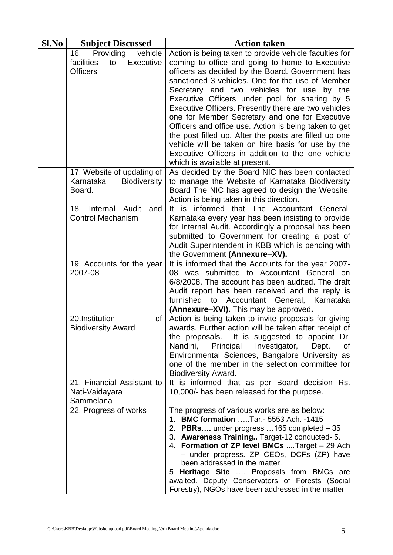| Sl.No | <b>Subject Discussed</b>                                                        | <b>Action taken</b>                                                                                                                                                                                                                                                                                                                                                                                                                                                                                                                                                                                                                                                                          |  |  |
|-------|---------------------------------------------------------------------------------|----------------------------------------------------------------------------------------------------------------------------------------------------------------------------------------------------------------------------------------------------------------------------------------------------------------------------------------------------------------------------------------------------------------------------------------------------------------------------------------------------------------------------------------------------------------------------------------------------------------------------------------------------------------------------------------------|--|--|
|       | 16.<br>Providing<br>vehicle<br>facilities<br>Executive<br>to<br><b>Officers</b> | Action is being taken to provide vehicle faculties for<br>coming to office and going to home to Executive<br>officers as decided by the Board. Government has<br>sanctioned 3 vehicles. One for the use of Member<br>Secretary and two vehicles for use<br>by the<br>Executive Officers under pool for sharing by 5<br>Executive Officers. Presently there are two vehicles<br>one for Member Secretary and one for Executive<br>Officers and office use. Action is being taken to get<br>the post filled up. After the posts are filled up one<br>vehicle will be taken on hire basis for use by the<br>Executive Officers in addition to the one vehicle<br>which is available at present. |  |  |
|       | 17. Website of updating of<br>Karnataka<br><b>Biodiversity</b><br>Board.        | As decided by the Board NIC has been contacted<br>to manage the Website of Karnataka Biodiversity<br>Board The NIC has agreed to design the Website.<br>Action is being taken in this direction.                                                                                                                                                                                                                                                                                                                                                                                                                                                                                             |  |  |
|       | Internal<br>Audit<br>18.<br>and<br><b>Control Mechanism</b>                     | It is informed that The Accountant General,<br>Karnataka every year has been insisting to provide<br>for Internal Audit. Accordingly a proposal has been<br>submitted to Government for creating a post of<br>Audit Superintendent in KBB which is pending with<br>the Government (Annexure-XV).                                                                                                                                                                                                                                                                                                                                                                                             |  |  |
|       | 19. Accounts for the year<br>2007-08                                            | It is informed that the Accounts for the year 2007-<br>08 was submitted to Accountant General on<br>6/8/2008. The account has been audited. The draft<br>Audit report has been received and the reply is<br>furnished<br>Accountant<br>General,<br>Karnataka<br>to<br>(Annexure-XVI). This may be approved.                                                                                                                                                                                                                                                                                                                                                                                  |  |  |
|       | 20.Institution<br>of<br><b>Biodiversity Award</b>                               | Action is being taken to invite proposals for giving<br>awards. Further action will be taken after receipt of<br>the proposals. It is suggested to appoint Dr.<br>Nandini,<br>Principal<br>Investigator,<br>Dept.<br>0f<br>Environmental Sciences, Bangalore University as<br>one of the member in the selection committee for<br><b>Biodiversity Award.</b>                                                                                                                                                                                                                                                                                                                                 |  |  |
|       | 21. Financial Assistant to<br>Nati-Vaidayara<br>Sammelana                       | It is informed that as per Board decision Rs.<br>10,000/- has been released for the purpose.                                                                                                                                                                                                                                                                                                                                                                                                                                                                                                                                                                                                 |  |  |
|       | 22. Progress of works                                                           | The progress of various works are as below:                                                                                                                                                                                                                                                                                                                                                                                                                                                                                                                                                                                                                                                  |  |  |
|       |                                                                                 | 1. BMC formation  Tar. - 5553 Ach. - 1415<br>2. PBRs under progress  165 completed - 35<br>3. Awareness Training Target-12 conducted- 5.<br>4. Formation of ZP level BMCs  Target - 29 Ach<br>- under progress. ZP CEOs, DCFs (ZP) have<br>been addressed in the matter.<br>5 Heritage Site  Proposals from BMCs are<br>awaited. Deputy Conservators of Forests (Social<br>Forestry), NGOs have been addressed in the matter                                                                                                                                                                                                                                                                 |  |  |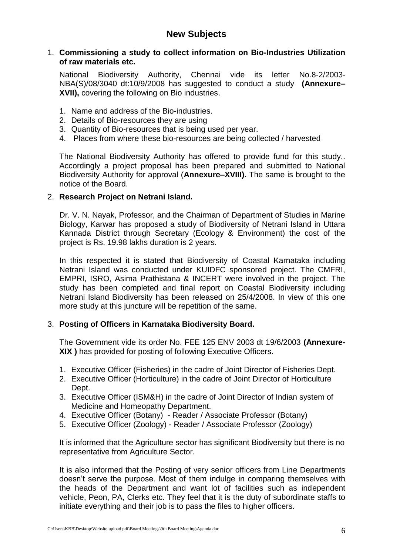## **New Subjects**

#### 1. **Commissioning a study to collect information on Bio-Industries Utilization of raw materials etc.**

National Biodiversity Authority, Chennai vide its letter No.8-2/2003- NBA(S)/08/3040 dt:10/9/2008 has suggested to conduct a study **(Annexure– XVII),** covering the following on Bio industries.

- 1. Name and address of the Bio-industries.
- 2. Details of Bio-resources they are using
- 3. Quantity of Bio-resources that is being used per year.
- 4. Places from where these bio-resources are being collected / harvested

The National Biodiversity Authority has offered to provide fund for this study.. Accordingly a project proposal has been prepared and submitted to National Biodiversity Authority for approval (**Annexure–XVIII).** The same is brought to the notice of the Board.

#### 2. **Research Project on Netrani Island.**

Dr. V. N. Nayak, Professor, and the Chairman of Department of Studies in Marine Biology, Karwar has proposed a study of Biodiversity of Netrani Island in Uttara Kannada District through Secretary (Ecology & Environment) the cost of the project is Rs. 19.98 lakhs duration is 2 years.

In this respected it is stated that Biodiversity of Coastal Karnataka including Netrani Island was conducted under KUIDFC sponsored project. The CMFRI, EMPRI, ISRO, Asima Prathistana & INCERT were involved in the project. The study has been completed and final report on Coastal Biodiversity including Netrani Island Biodiversity has been released on 25/4/2008. In view of this one more study at this juncture will be repetition of the same.

#### 3. **Posting of Officers in Karnataka Biodiversity Board.**

The Government vide its order No. FEE 125 ENV 2003 dt 19/6/2003 **(Annexure-XIX )** has provided for posting of following Executive Officers.

- 1. Executive Officer (Fisheries) in the cadre of Joint Director of Fisheries Dept.
- 2. Executive Officer (Horticulture) in the cadre of Joint Director of Horticulture Dept.
- 3. Executive Officer (ISM&H) in the cadre of Joint Director of Indian system of Medicine and Homeopathy Department.
- 4. Executive Officer (Botany) Reader / Associate Professor (Botany)
- 5. Executive Officer (Zoology) Reader / Associate Professor (Zoology)

It is informed that the Agriculture sector has significant Biodiversity but there is no representative from Agriculture Sector.

It is also informed that the Posting of very senior officers from Line Departments doesn't serve the purpose. Most of them indulge in comparing themselves with the heads of the Department and want lot of facilities such as independent vehicle, Peon, PA, Clerks etc. They feel that it is the duty of subordinate staffs to initiate everything and their job is to pass the files to higher officers.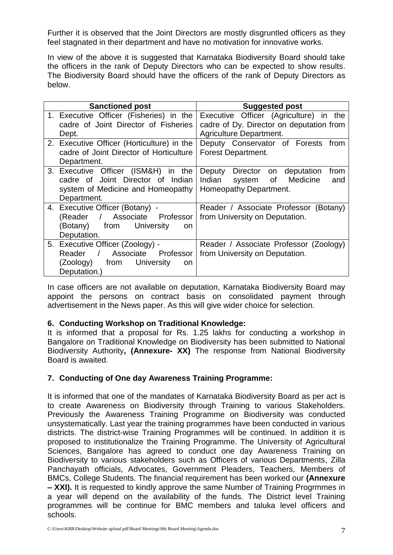Further it is observed that the Joint Directors are mostly disgruntled officers as they feel stagnated in their department and have no motivation for innovative works.

In view of the above it is suggested that Karnataka Biodiversity Board should take the officers in the rank of Deputy Directors who can be expected to show results. The Biodiversity Board should have the officers of the rank of Deputy Directors as below.

| <b>Sanctioned post</b>                                                                                                          | <b>Suggested post</b>                                                                                                 |
|---------------------------------------------------------------------------------------------------------------------------------|-----------------------------------------------------------------------------------------------------------------------|
| 1. Executive Officer (Fisheries) in the<br>cadre of Joint Director of Fisheries                                                 | Executive Officer (Agriculture) in the<br>cadre of Dy. Director on deputation from                                    |
| Dept.<br>2. Executive Officer (Horticulture) in the<br>cadre of Joint Director of Horticulture<br>Department.                   | Agriculture Department.<br>Deputy Conservator of Forests<br>from<br><b>Forest Department.</b>                         |
| 3. Executive Officer (ISM&H)<br>in the<br>cadre of Joint Director of Indian<br>system of Medicine and Homeopathy<br>Department. | Deputy<br>Director<br>from<br>deputation<br>on<br>Indian<br>Medicine<br>system<br>of<br>and<br>Homeopathy Department. |
| 4. Executive Officer (Botany) -<br>/ Associate Professor<br>(Reader<br>University<br>(Botany)<br>from<br>on.<br>Deputation.     | Reader / Associate Professor (Botany)<br>from University on Deputation.                                               |
| 5. Executive Officer (Zoology) -<br>Associate Professor<br>Reader /<br>University<br>(Zoology)<br>from<br>on.<br>Deputation.)   | Reader / Associate Professor (Zoology)<br>from University on Deputation.                                              |

In case officers are not available on deputation, Karnataka Biodiversity Board may appoint the persons on contract basis on consolidated payment through advertisement in the News paper. As this will give wider choice for selection.

## **6. Conducting Workshop on Traditional Knowledge:**

It is informed that a proposal for Rs. 1.25 lakhs for conducting a workshop in Bangalore on Traditional Knowledge on Biodiversity has been submitted to National Biodiversity Authority**, (Annexure- XX)** The response from National Biodiversity Board is awaited.

## **7. Conducting of One day Awareness Training Programme:**

It is informed that one of the mandates of Karnataka Biodiversity Board as per act is to create Awareness on Biodiversity through Training to various Stakeholders. Previously the Awareness Training Programme on Biodiversity was conducted unsystematically. Last year the training programmes have been conducted in various districts. The district-wise Training Programmes will be continued. In addition it is proposed to institutionalize the Training Programme. The University of Agricultural Sciences, Bangalore has agreed to conduct one day Awareness Training on Biodiversity to various stakeholders such as Officers of various Departments, Zilla Panchayath officials, Advocates, Government Pleaders, Teachers, Members of BMCs, College Students. The financial requirement has been worked our **(Annexure – XXI).** It is requested to kindly approve the same Number of Training Progrmmes in a year will depend on the availability of the funds. The District level Training programmes will be continue for BMC members and taluka level officers and schools.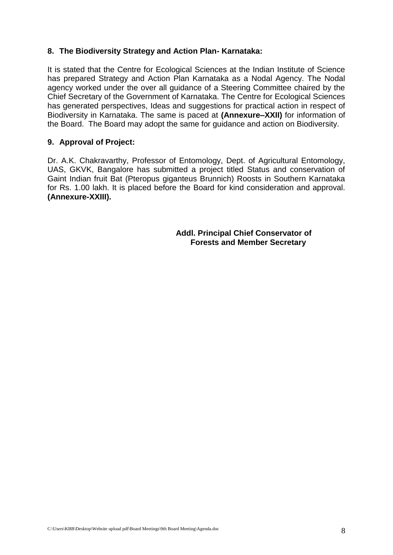#### **8. The Biodiversity Strategy and Action Plan- Karnataka:**

It is stated that the Centre for Ecological Sciences at the Indian Institute of Science has prepared Strategy and Action Plan Karnataka as a Nodal Agency. The Nodal agency worked under the over all guidance of a Steering Committee chaired by the Chief Secretary of the Government of Karnataka. The Centre for Ecological Sciences has generated perspectives, Ideas and suggestions for practical action in respect of Biodiversity in Karnataka. The same is paced at **(Annexure–XXII)** for information of the Board. The Board may adopt the same for guidance and action on Biodiversity.

#### **9. Approval of Project:**

Dr. A.K. Chakravarthy, Professor of Entomology, Dept. of Agricultural Entomology, UAS, GKVK, Bangalore has submitted a project titled Status and conservation of Gaint Indian fruit Bat (Pteropus giganteus Brunnich) Roosts in Southern Karnataka for Rs. 1.00 lakh. It is placed before the Board for kind consideration and approval. **(Annexure-XXIII).**

> **Addl. Principal Chief Conservator of Forests and Member Secretary**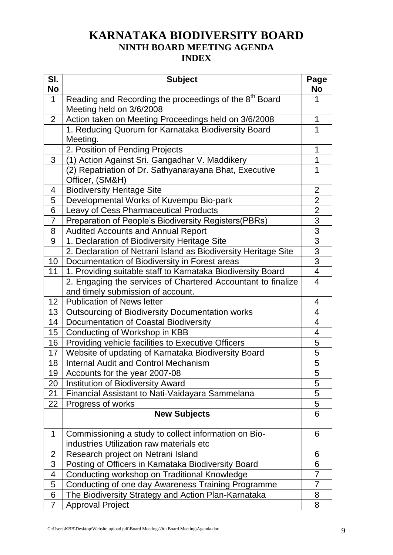# **KARNATAKA BIODIVERSITY BOARD NINTH BOARD MEETING AGENDA INDEX**

| SI.<br><b>No</b> | <b>Subject</b>                                                     | Page<br>No              |
|------------------|--------------------------------------------------------------------|-------------------------|
| $\mathbf{1}$     | Reading and Recording the proceedings of the 8 <sup>th</sup> Board | 1                       |
|                  | Meeting held on 3/6/2008                                           |                         |
| $\overline{2}$   | Action taken on Meeting Proceedings held on 3/6/2008               | 1                       |
|                  | 1. Reducing Quorum for Karnataka Biodiversity Board                | 1                       |
|                  | Meeting.                                                           |                         |
|                  | 2. Position of Pending Projects                                    | 1                       |
| 3                | (1) Action Against Sri. Gangadhar V. Maddikery                     | 1                       |
|                  | (2) Repatriation of Dr. Sathyanarayana Bhat, Executive             | $\mathbf 1$             |
|                  | Officer, (SM&H)                                                    |                         |
| 4                | <b>Biodiversity Heritage Site</b>                                  | 2                       |
| 5                | Developmental Works of Kuvempu Bio-park                            | $\overline{2}$          |
| 6                | <b>Leavy of Cess Pharmaceutical Products</b>                       | $\overline{2}$          |
| 7                | Preparation of People's Biodiversity Registers(PBRs)               | 3                       |
| 8                | <b>Audited Accounts and Annual Report</b>                          | $\overline{3}$          |
| 9                | 1. Declaration of Biodiversity Heritage Site                       | 3                       |
|                  | 2. Declaration of Netrani Island as Biodiversity Heritage Site     | $\overline{3}$          |
| 10 <sup>°</sup>  | Documentation of Biodiversity in Forest areas                      | $\overline{3}$          |
| 11               | 1. Providing suitable staff to Karnataka Biodiversity Board        | $\overline{\mathbf{4}}$ |
|                  | 2. Engaging the services of Chartered Accountant to finalize       | $\overline{\mathbf{4}}$ |
|                  | and timely submission of account.                                  |                         |
| 12               | <b>Publication of News letter</b>                                  | 4                       |
| 13               | <b>Outsourcing of Biodiversity Documentation works</b>             | 4                       |
| 14               | Documentation of Coastal Biodiversity                              | 4                       |
| 15               | Conducting of Workshop in KBB                                      | 4                       |
| 16               | Providing vehicle facilities to Executive Officers                 | 5                       |
| 17               | Website of updating of Karnataka Biodiversity Board                | 5                       |
| 18               | <b>Internal Audit and Control Mechanism</b>                        | 5                       |
| 19               | Accounts for the year 2007-08                                      | 5                       |
| 20               | <b>Institution of Biodiversity Award</b>                           | 5                       |
| 21               | Financial Assistant to Nati-Vaidayara Sammelana                    | 5                       |
| 22               | Progress of works                                                  | 5                       |
|                  | <b>New Subjects</b>                                                | 6                       |
| 1                | Commissioning a study to collect information on Bio-               | 6                       |
|                  | industries Utilization raw materials etc                           |                         |
| $\overline{2}$   | Research project on Netrani Island                                 | 6                       |
| 3                | Posting of Officers in Karnataka Biodiversity Board                | 6                       |
| 4                | Conducting workshop on Traditional Knowledge                       | $\overline{7}$          |
| 5                | Conducting of one day Awareness Training Programme                 | $\overline{7}$          |
| 6                | The Biodiversity Strategy and Action Plan-Karnataka                | 8                       |
| $\overline{7}$   | <b>Approval Project</b>                                            | 8                       |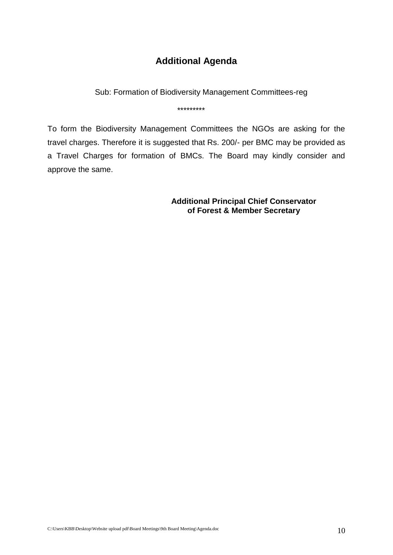# **Additional Agenda**

Sub: Formation of Biodiversity Management Committees-reg

\*\*\*\*\*\*\*\*\*

To form the Biodiversity Management Committees the NGOs are asking for the travel charges. Therefore it is suggested that Rs. 200/- per BMC may be provided as a Travel Charges for formation of BMCs. The Board may kindly consider and approve the same.

> **Additional Principal Chief Conservator of Forest & Member Secretary**